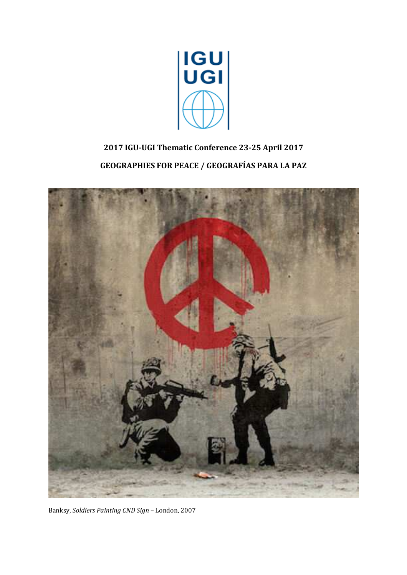

# **2017 IGU-UGI Thematic Conference 23-25 April 2017 GEOGRAPHIES FOR PEACE / GEOGRAFÍAS PARA LA PAZ**



Banksy, *Soldiers Painting CND Sign* – London, 2007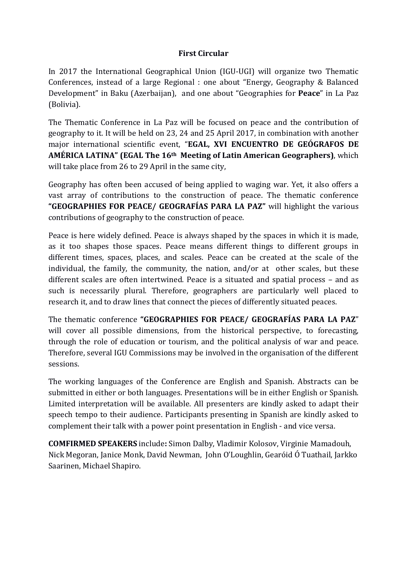# **First Circular**

In 2017 the International Geographical Union (IGU-UGI) will organize two Thematic Conferences, instead of a large Regional : one about "Energy, Geography & Balanced Development" in Baku (Azerbaijan), and one about "Geographies for **Peace**" in La Paz (Bolivia).

The Thematic Conference in La Paz will be focused on peace and the contribution of geography to it. It will be held on 23, 24 and 25 April 2017, in combination with another major international scientific event, "**EGAL, XVI ENCUENTRO DE GEÓGRAFOS DE AMÉRICA LATINA" (EGAL The 16th Meeting of Latin American Geographers)**, which will take place from 26 to 29 April in the same city,

Geography has often been accused of being applied to waging war. Yet, it also offers a vast array of contributions to the construction of peace. The thematic conference **"GEOGRAPHIES FOR PEACE/ GEOGRAFÍAS PARA LA PAZ"** will highlight the various contributions of geography to the construction of peace.

Peace is here widely defined. Peace is always shaped by the spaces in which it is made, as it too shapes those spaces. Peace means different things to different groups in different times, spaces, places, and scales. Peace can be created at the scale of the individual, the family, the community, the nation, and/or at other scales, but these different scales are often intertwined. Peace is a situated and spatial process – and as such is necessarily plural. Therefore, geographers are particularly well placed to research it, and to draw lines that connect the pieces of differently situated peaces.

The thematic conference **"GEOGRAPHIES FOR PEACE/ GEOGRAFÍAS PARA LA PAZ**" will cover all possible dimensions, from the historical perspective, to forecasting, through the role of education or tourism, and the political analysis of war and peace. Therefore, several IGU Commissions may be involved in the organisation of the different sessions.

The working languages of the Conference are English and Spanish. Abstracts can be submitted in either or both languages. Presentations will be in either English or Spanish. Limited interpretation will be available. All presenters are kindly asked to adapt their speech tempo to their audience. Participants presenting in Spanish are kindly asked to complement their talk with a power point presentation in English - and vice versa.

**COMFIRMED SPEAKERS** include**:** Simon Dalby, Vladimir Kolosov, Virginie Mamadouh, Nick Megoran, Janice Monk, David Newman, John O'Loughlin, Gearóid Ó Tuathail, Jarkko Saarinen, Michael Shapiro.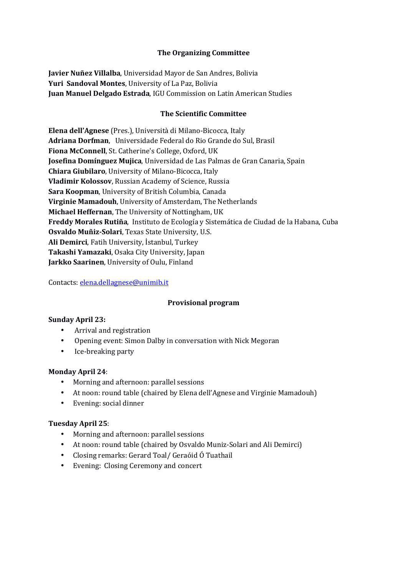## **The Organizing Committee**

**Javier Nuñez Villalba**, Universidad Mayor de San Andres, Bolivia **Yuri Sandoval Montes**, University of La Paz, Bolivia **Juan Manuel Delgado Estrada**, IGU Commission on Latin American Studies

#### **The Scientific Committee**

**Elena dell'Agnese** (Pres.), Università di Milano-Bicocca, Italy **Adriana Dorfman**, Universidade Federal do Rio Grande do Sul, Brasil **Fiona McConnell**, St. Catherine's College, Oxford, UK **Josefina Domínguez Mujica**, Universidad de Las Palmas de Gran Canaria, Spain **Chiara Giubilaro**, University of Milano-Bicocca, Italy **Vladimir Kolossov**, Russian Academy of Science, Russia **Sara Koopman**, University of British Columbia, Canada **Virginie Mamadouh**, University of Amsterdam, The Netherlands **Michael Heffernan**, The University of Nottingham, UK **Freddy Morales Rutiña**, Instituto de Ecología y Sistemática de Ciudad de la Habana, Cuba **Osvaldo Muñiz-Solari**, Texas State University, U.S. **Ali Demirci**, Fatih University, İstanbul, Turkey **Takashi Yamazaki**, Osaka City University, Japan **Jarkko Saarinen**, University of Oulu, Finland

Contacts: elena.dellagnese@unimib.it

# **Provisional program**

#### **Sunday April 23:**

- Arrival and registration
- Opening event: Simon Dalby in conversation with Nick Megoran
- Ice-breaking party

#### **Monday April 24**:

- Morning and afternoon: parallel sessions
- At noon: round table (chaired by Elena dell'Agnese and Virginie Mamadouh)
- Evening: social dinner

#### **Tuesday April 25**:

- Morning and afternoon: parallel sessions
- At noon: round table (chaired by Osvaldo Muniz-Solari and Ali Demirci)
- Closing remarks: Gerard Toal/ Geraóid Ó Tuathail
- Evening: Closing Ceremony and concert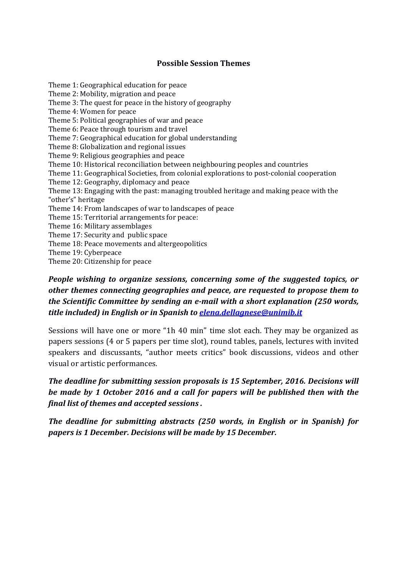## **Possible Session Themes**

Theme 1: Geographical education for peace Theme 2: Mobility, migration and peace Theme 3: The quest for peace in the history of geography Theme 4: Women for peace Theme 5: Political geographies of war and peace Theme 6: Peace through tourism and travel Theme 7: Geographical education for global understanding Theme 8: Globalization and regional issues Theme 9: Religious geographies and peace Theme 10: Historical reconciliation between neighbouring peoples and countries Theme 11: Geographical Societies, from colonial explorations to post-colonial cooperation Theme 12: Geography, diplomacy and peace Theme 13: Engaging with the past: managing troubled heritage and making peace with the "other's" heritage Theme 14: From landscapes of war to landscapes of peace Theme 15: Territorial arrangements for peace: Theme 16: Military assemblages Theme 17: Security and public space Theme 18: Peace movements and altergeopolitics Theme 19: Cyberpeace Theme 20: Citizenship for peace

# *People wishing to organize sessions, concerning some of the suggested topics, or other themes connecting geographies and peace, are requested to propose them to the Scientific Committee by sending an e-mail with a short explanation (250 words, title included) in English or in Spanish to elena.dellagnese@unimib.it*

Sessions will have one or more "1h 40 min" time slot each. They may be organized as papers sessions (4 or 5 papers per time slot), round tables, panels, lectures with invited speakers and discussants, "author meets critics" book discussions, videos and other visual or artistic performances.

*The deadline for submitting session proposals is 15 September, 2016. Decisions will be made by 1 October 2016 and a call for papers will be published then with the final list of themes and accepted sessions .* 

*The deadline for submitting abstracts (250 words, in English or in Spanish) for papers is 1 December. Decisions will be made by 15 December.*